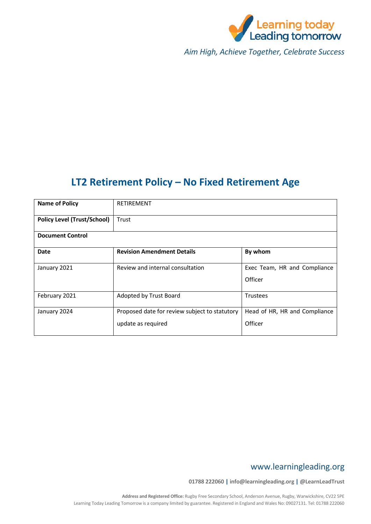

*Aim High, Achieve Together, Celebrate Success*

# **LT2 Retirement Policy – No Fixed Retirement Age**

| <b>Name of Policy</b>              | <b>RETIREMENT</b>                                                   |                                          |  |
|------------------------------------|---------------------------------------------------------------------|------------------------------------------|--|
| <b>Policy Level (Trust/School)</b> | Trust                                                               |                                          |  |
| <b>Document Control</b>            |                                                                     |                                          |  |
| Date                               | <b>Revision Amendment Details</b>                                   | By whom                                  |  |
| January 2021                       | Review and internal consultation                                    | Exec Team, HR and Compliance<br>Officer  |  |
| February 2021                      | Adopted by Trust Board                                              | <b>Trustees</b>                          |  |
| January 2024                       | Proposed date for review subject to statutory<br>update as required | Head of HR, HR and Compliance<br>Officer |  |

# www.learningleading.org

**01788 222060 | info@learningleading.org | @LearnLeadTrust**

**Address and Registered Office:** Rugby Free Secondary School, Anderson Avenue, Rugby, Warwickshire, CV22 5PE Learning Today Leading Tomorrow is a company limited by guarantee. Registered in England and Wales No: 09027131. Tel: 01788 222060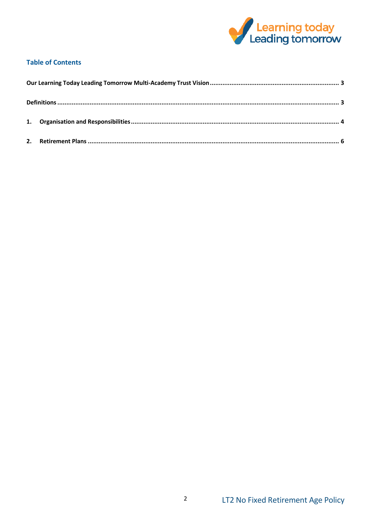

# **Table of Contents**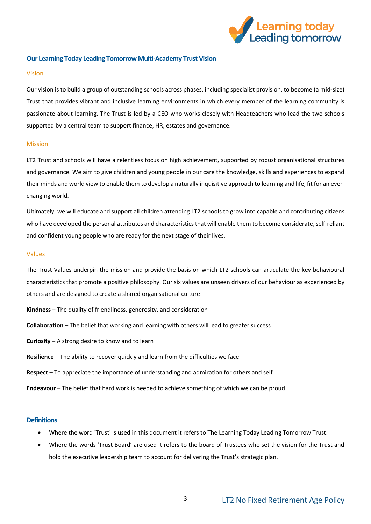

### <span id="page-2-0"></span>**Our Learning Today Leading Tomorrow Multi-Academy Trust Vision**

#### Vision

Our vision is to build a group of outstanding schools across phases, including specialist provision, to become (a mid-size) Trust that provides vibrant and inclusive learning environments in which every member of the learning community is passionate about learning. The Trust is led by a CEO who works closely with Headteachers who lead the two schools supported by a central team to support finance, HR, estates and governance.

### Mission

LT2 Trust and schools will have a relentless focus on high achievement, supported by robust organisational structures and governance. We aim to give children and young people in our care the knowledge, skills and experiences to expand their minds and world view to enable them to develop a naturally inquisitive approach to learning and life, fit for an everchanging world.

Ultimately, we will educate and support all children attending LT2 schools to grow into capable and contributing citizens who have developed the personal attributes and characteristics that will enable them to become considerate, self-reliant and confident young people who are ready for the next stage of their lives.

#### Values

The Trust Values underpin the mission and provide the basis on which LT2 schools can articulate the key behavioural characteristics that promote a positive philosophy. Our six values are unseen drivers of our behaviour as experienced by others and are designed to create a shared organisational culture:

- **Kindness –** The quality of friendliness, generosity, and consideration
- **Collaboration** The belief that working and learning with others will lead to greater success
- **Curiosity –** A strong desire to know and to learn
- **Resilience** The ability to recover quickly and learn from the difficulties we face
- **Respect** To appreciate the importance of understanding and admiration for others and self
- **Endeavour** The belief that hard work is needed to achieve something of which we can be proud

### <span id="page-2-1"></span>**Definitions**

- Where the word 'Trust' is used in this document it refers to The Learning Today Leading Tomorrow Trust.
- Where the words 'Trust Board' are used it refers to the board of Trustees who set the vision for the Trust and hold the executive leadership team to account for delivering the Trust's strategic plan.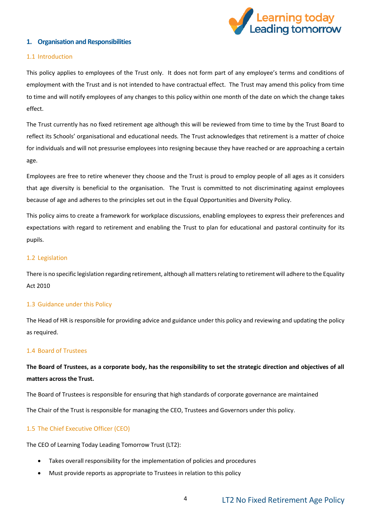

# <span id="page-3-0"></span>**1. Organisation and Responsibilities**

### 1.1 Introduction

This policy applies to employees of the Trust only. It does not form part of any employee's terms and conditions of employment with the Trust and is not intended to have contractual effect. The Trust may amend this policy from time to time and will notify employees of any changes to this policy within one month of the date on which the change takes effect.

The Trust currently has no fixed retirement age although this will be reviewed from time to time by the Trust Board to reflect its Schools' organisational and educational needs. The Trust acknowledges that retirement is a matter of choice for individuals and will not pressurise employees into resigning because they have reached or are approaching a certain age.

Employees are free to retire whenever they choose and the Trust is proud to employ people of all ages as it considers that age diversity is beneficial to the organisation. The Trust is committed to not discriminating against employees because of age and adheres to the principles set out in the Equal Opportunities and Diversity Policy.

This policy aims to create a framework for workplace discussions, enabling employees to express their preferences and expectations with regard to retirement and enabling the Trust to plan for educational and pastoral continuity for its pupils.

### 1.2 Legislation

There is no specific legislation regarding retirement, although all matters relating to retirement will adhere to the Equality Act 2010

### 1.3 Guidance under this Policy

The Head of HR is responsible for providing advice and guidance under this policy and reviewing and updating the policy as required.

### 1.4 Board of Trustees

# **The Board of Trustees, as a corporate body, has the responsibility to set the strategic direction and objectives of all matters across the Trust.**

The Board of Trustees is responsible for ensuring that high standards of corporate governance are maintained

The Chair of the Trust is responsible for managing the CEO, Trustees and Governors under this policy.

# 1.5 The Chief Executive Officer (CEO)

The CEO of Learning Today Leading Tomorrow Trust (LT2):

- Takes overall responsibility for the implementation of policies and procedures
- Must provide reports as appropriate to Trustees in relation to this policy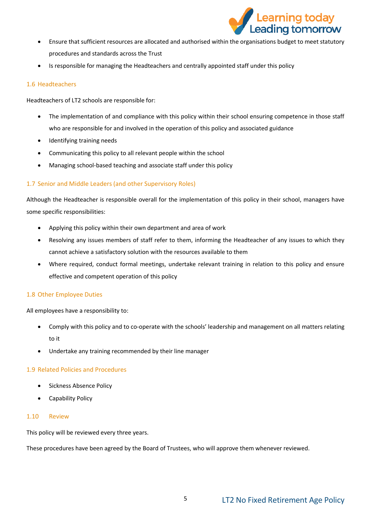

- Ensure that sufficient resources are allocated and authorised within the organisations budget to meet statutory procedures and standards across the Trust
- Is responsible for managing the Headteachers and centrally appointed staff under this policy

# 1.6 Headteachers

Headteachers of LT2 schools are responsible for:

- The implementation of and compliance with this policy within their school ensuring competence in those staff who are responsible for and involved in the operation of this policy and associated guidance
- Identifying training needs
- Communicating this policy to all relevant people within the school
- Managing school-based teaching and associate staff under this policy

# 1.7 Senior and Middle Leaders (and other Supervisory Roles)

Although the Headteacher is responsible overall for the implementation of this policy in their school, managers have some specific responsibilities:

- Applying this policy within their own department and area of work
- Resolving any issues members of staff refer to them, informing the Headteacher of any issues to which they cannot achieve a satisfactory solution with the resources available to them
- Where required, conduct formal meetings, undertake relevant training in relation to this policy and ensure effective and competent operation of this policy

# 1.8 Other Employee Duties

All employees have a responsibility to:

- Comply with this policy and to co-operate with the schools' leadership and management on all matters relating to it
- Undertake any training recommended by their line manager

# 1.9 Related Policies and Procedures

- Sickness Absence Policy
- Capability Policy

# 1.10 Review

This policy will be reviewed every three years.

These procedures have been agreed by the Board of Trustees, who will approve them whenever reviewed.